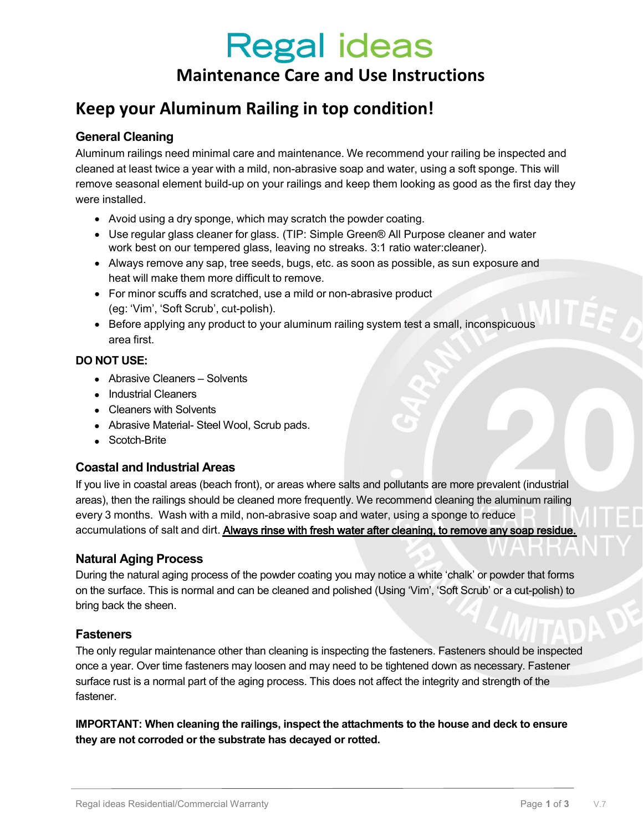# **Regal ideas**

### Maintenance Care and Use Instructions

### Keep your Aluminum Railing in top condition!

### General Cleaning

Aluminum railings need minimal care and maintenance. We recommend your railing be inspected and cleaned at least twice a year with a mild, non-abrasive soap and water, using a soft sponge. This will remove seasonal element build-up on your railings and keep them looking as good as the first day they were installed.

- Avoid using a dry sponge, which may scratch the powder coating.
- Use regular glass cleaner for glass. (TIP: Simple Green® All Purpose cleaner and water work best on our tempered glass, leaving no streaks. 3:1 ratio water:cleaner).
- Always remove any sap, tree seeds, bugs, etc. as soon as possible, as sun exposure and heat will make them more difficult to remove.
- For minor scuffs and scratched, use a mild or non-abrasive product (eg: 'Vim', 'Soft Scrub', cut-polish).
- Before applying any product to your aluminum railing system test a small, inconspicuous area first.

### DO NOT USE:

- Abrasive Cleaners Solvents
- Industrial Cleaners
- Cleaners with Solvents
- Abrasive Material- Steel Wool, Scrub pads.
- Scotch-Brite

### Coastal and Industrial Areas

If you live in coastal areas (beach front), or areas where salts and pollutants are more prevalent (industrial areas), then the railings should be cleaned more frequently. We recommend cleaning the aluminum railing every 3 months. Wash with a mild, non-abrasive soap and water, using a sponge to reduce accumulations of salt and dirt. Always rinse with fresh water after cleaning, to remove any soap residue.

### Natural Aging Process

During the natural aging process of the powder coating you may notice a white 'chalk' or powder that forms on the surface. This is normal and can be cleaned and polished (Using 'Vim', 'Soft Scrub' or a cut-polish) to bring back the sheen.

### **Fasteners**

The only regular maintenance other than cleaning is inspecting the fasteners. Fasteners should be inspected once a year. Over time fasteners may loosen and may need to be tightened down as necessary. Fastener surface rust is a normal part of the aging process. This does not affect the integrity and strength of the fastener.

IMPORTANT: When cleaning the railings, inspect the attachments to the house and deck to ensure they are not corroded or the substrate has decayed or rotted.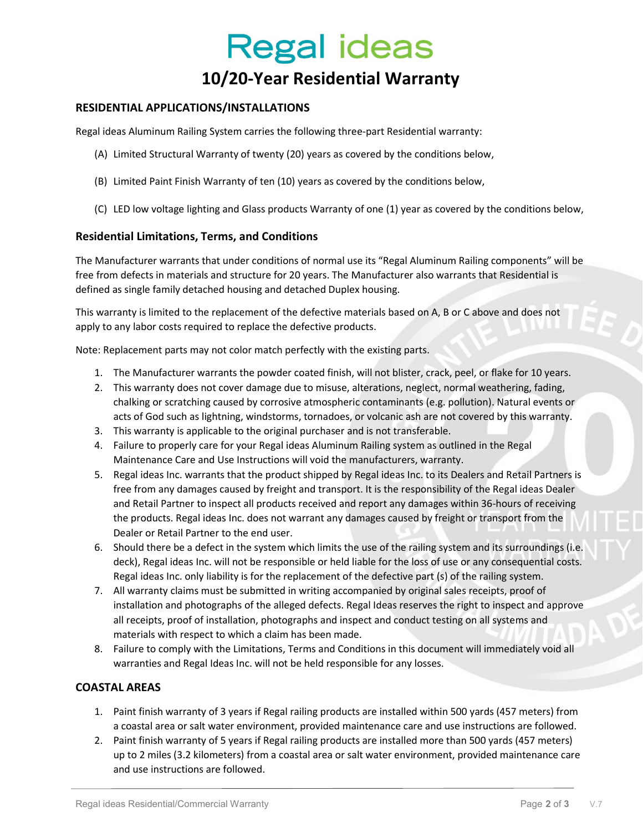## **Regal ideas**

### 10/20-Year Residential Warranty

### RESIDENTIAL APPLICATIONS/INSTALLATIONS

Regal ideas Aluminum Railing System carries the following three-part Residential warranty:

- (A) Limited Structural Warranty of twenty (20) years as covered by the conditions below,
- (B) Limited Paint Finish Warranty of ten (10) years as covered by the conditions below,
- (C) LED low voltage lighting and Glass products Warranty of one (1) year as covered by the conditions below,

### Residential Limitations, Terms, and Conditions

The Manufacturer warrants that under conditions of normal use its "Regal Aluminum Railing components" will be free from defects in materials and structure for 20 years. The Manufacturer also warrants that Residential is defined as single family detached housing and detached Duplex housing.

This warranty is limited to the replacement of the defective materials based on A, B or C above and does not apply to any labor costs required to replace the defective products.

Note: Replacement parts may not color match perfectly with the existing parts.

- 1. The Manufacturer warrants the powder coated finish, will not blister, crack, peel, or flake for 10 years.
- 2. This warranty does not cover damage due to misuse, alterations, neglect, normal weathering, fading, chalking or scratching caused by corrosive atmospheric contaminants (e.g. pollution). Natural events or acts of God such as lightning, windstorms, tornadoes, or volcanic ash are not covered by this warranty.
- 3. This warranty is applicable to the original purchaser and is not transferable.
- 4. Failure to properly care for your Regal ideas Aluminum Railing system as outlined in the Regal Maintenance Care and Use Instructions will void the manufacturers, warranty.
- 5. Regal ideas Inc. warrants that the product shipped by Regal ideas Inc. to its Dealers and Retail Partners is free from any damages caused by freight and transport. It is the responsibility of the Regal ideas Dealer and Retail Partner to inspect all products received and report any damages within 36-hours of receiving the products. Regal ideas Inc. does not warrant any damages caused by freight or transport from the Dealer or Retail Partner to the end user.
- 6. Should there be a defect in the system which limits the use of the railing system and its surroundings (i.e. deck), Regal ideas Inc. will not be responsible or held liable for the loss of use or any consequential costs. Regal ideas Inc. only liability is for the replacement of the defective part (s) of the railing system.
- 7. All warranty claims must be submitted in writing accompanied by original sales receipts, proof of installation and photographs of the alleged defects. Regal Ideas reserves the right to inspect and approve all receipts, proof of installation, photographs and inspect and conduct testing on all systems and materials with respect to which a claim has been made.
- 8. Failure to comply with the Limitations, Terms and Conditions in this document will immediately void all warranties and Regal Ideas Inc. will not be held responsible for any losses.

### COASTAL AREAS

- 1. Paint finish warranty of 3 years if Regal railing products are installed within 500 yards (457 meters) from a coastal area or salt water environment, provided maintenance care and use instructions are followed.
- 2. Paint finish warranty of 5 years if Regal railing products are installed more than 500 yards (457 meters) up to 2 miles (3.2 kilometers) from a coastal area or salt water environment, provided maintenance care and use instructions are followed.